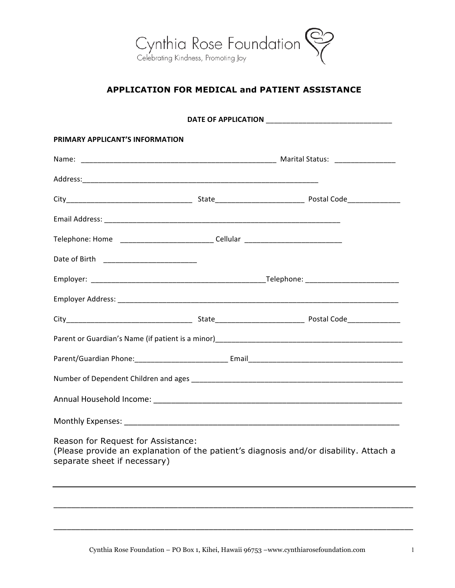

## **APPLICATION FOR MEDICAL and PATIENT ASSISTANCE**

| PRIMARY APPLICANT'S INFORMATION                                                  |  |                                                                                       |
|----------------------------------------------------------------------------------|--|---------------------------------------------------------------------------------------|
|                                                                                  |  |                                                                                       |
|                                                                                  |  |                                                                                       |
|                                                                                  |  |                                                                                       |
|                                                                                  |  |                                                                                       |
| Telephone: Home ______________________________Cellular _________________________ |  |                                                                                       |
|                                                                                  |  |                                                                                       |
|                                                                                  |  |                                                                                       |
|                                                                                  |  |                                                                                       |
|                                                                                  |  |                                                                                       |
|                                                                                  |  |                                                                                       |
|                                                                                  |  |                                                                                       |
|                                                                                  |  |                                                                                       |
|                                                                                  |  |                                                                                       |
|                                                                                  |  |                                                                                       |
| Reason for Request for Assistance:<br>separate sheet if necessary)               |  | (Please provide an explanation of the patient's diagnosis and/or disability. Attach a |
|                                                                                  |  |                                                                                       |
|                                                                                  |  |                                                                                       |

\_\_\_\_\_\_\_\_\_\_\_\_\_\_\_\_\_\_\_\_\_\_\_\_\_\_\_\_\_\_\_\_\_\_\_\_\_\_\_\_\_\_\_\_\_\_\_\_\_\_\_\_\_\_\_\_\_\_\_\_\_\_\_\_\_\_\_\_\_\_\_\_\_\_\_\_\_\_\_\_\_